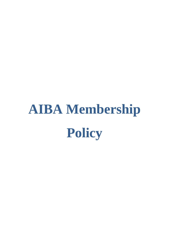# **AIBA Membership Policy**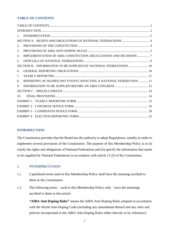#### <span id="page-1-0"></span>**TABLE OF CONTENTS**

| 1.                                                                       |
|--------------------------------------------------------------------------|
| SECTION A - RIGHTS AND OBLIGATIONS OF NATIONAL FEDERATIONS  4            |
| 2.                                                                       |
| 3.                                                                       |
| IMPLEMENTATION OF AIBA CONSTITUTION, REGULATIONS AND DECISIONS 7<br>4.   |
| 5.                                                                       |
| SECTION B - INFORMATION TO BE SUPPLIED BY NATIONAL FEDERATIONS  10       |
| 6.                                                                       |
| 7.                                                                       |
| REPORTING OF SIGNIFICANT EVENTS AFFECTING A NATIONAL FEDERATION 11<br>8. |
| 9.                                                                       |
|                                                                          |
| 10 <sub>1</sub>                                                          |
|                                                                          |
|                                                                          |
|                                                                          |
|                                                                          |

#### <span id="page-1-1"></span>**INTRODUCTION**

The Constitution provides that the Board has the authority to adopt Regulations, notably in order to implement several provisions of the Constitution. The purpose of this Membership Policy is to (i) clarify the rights and obligations of National Federations and (ii) specify the information that needs to be supplied by National Federations in accordance with article 11 (f) of the Constitution.

#### <span id="page-1-2"></span>**1. INTERPRETATION**

- 1.1 Capitalized terms used in this Membership Policy shall have the meaning ascribed to them in the Constitution.
- 1.2 The following terms used in this Membership Policy only have the meanings ascribed to them in this article:

**"AIBA Anti-Doping Rules"** means the AIBA Anti-Doping Rules adopted in accordance with the World Anti-Doping Code (including any amendment thereof and any rules and policies incorporated in the AIBA Anti-Doping Rules either directly or by reference);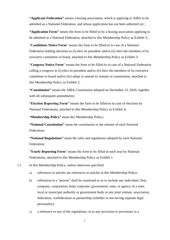**"Applicant Federation"** means a boxing association, which is applying to AIBA to be admitted as a National Federation, and whose application has not been admitted yet ;

**"Application Form"** means the form to be filled-in by a boxing association applying to be admitted as a National Federation, attached to this Membership Policy as Exhibit 5;

"**Candidates Notice Form**" means the form to be filled-in in case of a National Federation holding elections to (i) elect its president and/or (ii) elect the members of its executive committee or board, attached to this Membership Policy as Exhibit 3;

"**Congress Notice Form**" means the form to be filled-in in case of a National Federation calling a congress to (i) elect its president and/or (ii) elect the members of its executive committee or board and/or (iii) adopt or amend its statutes or constitution, attached to this Membership Policy as Exhibit 2;

**"Constitution"** means the AIBA Constitution adopted on December 13, 2020, together with all subsequent amendments;

**"Election Reporting Form"** means the form to be filled-in in case of elections by National Federations, attached to this Membership Policy as Exhibit 4;

**"Membership Policy"** mean this Membership Policy;

**"National Constitution"** mean the constitution or the statutes of each National Federation;

**"National Regulations"** mean the rules and regulations adopted by each National Federation;

"**Yearly Reporting Form**" means the form to be filled-in each year by National Federations, attached to this Membership Policy as Exhibit 1.

1.3 In this Membership Policy, unless otherwise specified:

- a) references to articles are references to articles in this Membership Policy;
- b) references to a "person" shall be construed so as to include any individual, firm, company, corporation, body corporate, government, state, or agency of a state, local or municipal authority or government body or any joint venture, association, federation, confederation or partnership (whether or not having separate legal personality);
- c) a reference to any of the regulations, or to any provision or provisions in a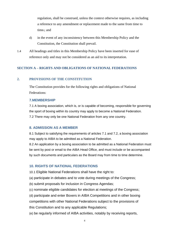regulation, shall be construed, unless the context otherwise requires, as including a reference to any amendment or replacement made to the same from time to time.; and

- d) in the event of any inconsistency between this Membership Policy and the Constitution, the Constitution shall prevail.
- 1.4 All headings and titles in this Membership Policy have been inserted for ease of reference only and may not be considered as an aid to its interpretation.

#### <span id="page-3-0"></span>**SECTION A – RIGHTS AND OBLIGATIONS OF NATIONAL FEDERATIONS**

#### <span id="page-3-1"></span>**2. PROVISIONS OF THE CONSTITUTION**

The Constitution provides for the following rights and obligations of National Federations:

#### **7.MEMBERSHIP**

7.1 A boxing association, which is, or is capable of becoming, responsible for governing the sport of boxing within its country may apply to become a National Federation. 7.2 There may only be one National Federation from any one country.

#### **8. ADMISSION AS A MEMBER**

8.1 Subject to satisfying the requirements of articles 7.1 and 7.2, a boxing association may apply to AIBA to be admitted as a National Federation.

8.2 An application by a boxing association to be admitted as a National Federation must be sent by post or email to the AIBA Head Office, and must include or be accompanied by such documents and particulars as the Board may from time to time determine.

#### **10. RIGHTS OF NATIONAL FEDERATIONS**

10.1 Eligible National Federations shall have the right to:

(a) participate in debates and to vote during meetings of the Congress;

- (b) submit proposals for inclusion in Congress Agendas;
- (c) nominate eligible candidates for election at meetings of the Congress;

(d) participate and enter Boxers in AIBA Competitions and in other boxing competitions with other National Federations subject to the provisions of this Constitution and to any applicable Regulations;

(e) be regularly informed of AIBA activities, notably by receiving reports,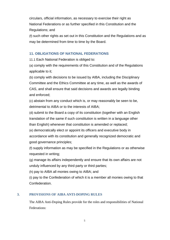circulars, official information, as necessary to exercise their right as National Federations or as further specified in this Constitution and the Regulations; and

(f) such other rights as set out in this Constitution and the Regulations and as may be determined from time to time by the Board.

#### **11. OBLIGATIONS OF NATIONAL FEDERATIONS**

11.1 Each National Federation is obliged to:

(a) comply with the requirements of this Constitution and of the Regulations applicable to it;

(b) comply with decisions to be issued by AIBA, including the Disciplinary Committee and the Ethics Committee at any time, as well as the awards of CAS, and shall ensure that said decisions and awards are legally binding and enforced;

(c) abstain from any conduct which is, or may reasonably be seen to be, detrimental to AIBA or to the interests of AIBA;

(d) submit to the Board a copy of its constitution (together with an English translation of the same if such constitution is written in a language other than English) whenever that constitution is amended or replaced;

(e) democratically elect or appoint its officers and executive body in accordance with its constitution and generally recognized democratic and good governance principles;

(f) supply information as may be specified in the Regulations or as otherwise requested in writing;

(g) manage its affairs independently and ensure that its own affairs are not unduly influenced by any third party or third parties;

(h) pay to AIBA all monies owing to AIBA; and

(i) pay to the Confederation of which it is a member all monies owing to that Confederation.

#### <span id="page-4-0"></span>**3. PROVISIONS OF AIBA ANTI-DOPING RULES**

The AIBA Anti-Doping Rules provide for the roles and responsibilities of National Federations: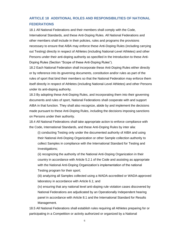#### **ARTICLE 18 ADDITIONAL ROLES AND RESPONSIBILITIES OF NATIONAL FEDERATIONS**

18.1 All National Federations and their members shall comply with the Code, International Standards, and these Anti-Doping Rules. All National Federations and other members shall include in their policies, rules and programs the provisions necessary to ensure that AIBA may enforce these Anti-Doping Rules (including carrying out Testing) directly in respect of Athletes (including National-Level Athletes) and other Persons under their anti-doping authority as specified in the Introduction to these Anti-Doping Rules (Section "Scope of these Anti-Doping Rules").

18.2 Each National Federation shall incorporate these Anti-Doping Rules either directly or by reference into its governing documents, constitution and/or rules as part of the rules of sport that bind their members so that the National Federation may enforce them itself directly in respect of Athletes (including National-Level Athletes) and other Persons under its anti-doping authority.

18.3 By adopting these Anti-Doping Rules, and incorporating them into their governing documents and rules of sport, National Federations shall cooperate with and support AIBA in that function. They shall also recognize, abide by and implement the decisions made pursuant to these Anti-Doping Rules, including the decisions imposing sanctions on Persons under their authority.

18.4 All National Federations shall take appropriate action to enforce compliance with the Code, International Standards, and these Anti-Doping Rules by inter alia:

(i) conducting Testing only under the documented authority of AIBA and using their National Anti-Doping Organization or other Sample collection authority to collect Samples in compliance with the International Standard for Testing and Investigations;

(ii) recognizing the authority of the National Anti-Doping Organization in their country in accordance with Article 5.2.1 of the Code and assisting as appropriate with the National Anti-Doping Organization's implementation of the national Testing program for their sport;

(iii) analyzing all Samples collected using a WADA-accredited or WADA-approved laboratory in accordance with Article 6.1; and

(iv) ensuring that any national level anti-doping rule violation cases discovered by National Federations are adjudicated by an Operationally Independent hearing panel in accordance with Article 8.1 and the International Standard for Results Management.

18.5 All National Federations shall establish rules requiring all Athletes preparing for or participating in a Competition or activity authorized or organized by a National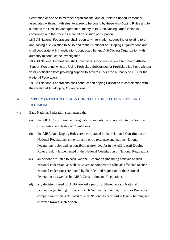Federation or one of its member organizations, and all Athlete Support Personnel associated with such Athletes, to agree to be bound by these Anti-Doping Rules and to submit to the Results Management authority of the Anti-Doping Organization in conformity with the Code as a condition of such participation.

18.6 All National Federations shall report any information suggesting or relating to an anti-doping rule violation to AIBA and to their National Anti-Doping Organizations and shall cooperate with investigations conducted by any Anti-Doping Organization with authority to conduct the investigation.

18.7 All National Federations shall have disciplinary rules in place to prevent Athlete Support Personnel who are Using Prohibited Substances or Prohibited Methods without valid justification from providing support to Athletes under the authority of AIBA or the National Federation.

18.8 All National Federations shall conduct anti-doping Education in coordination with their National Anti-Doping Organizations.

#### <span id="page-6-0"></span>**4. IMPLEMENTATION OF AIBA CONSTITUTION, REGULATIONS AND DECISIONS**

- <span id="page-6-1"></span>4.1 Each National Federation shall ensure that:
	- (a) the AIBA Constitution and Regulations are duly incorporated into the National Constitution and National Regulations.
	- (b) the AIBA Anti-Doping Rules are incorporated in their National Constitution or National Regulations, either directly or by reference and that the National Federations' roles and responsibilities provided for in the AIBA Anti-Doping Rules are duly implemented in the National Constitution or National Regulations.
	- (c) all persons affiliated to each National Federation (including officials of such National Federation, as well as Boxers or competition officials affiliated to such National Federation) are bound by the rules and regulation of the National Federations, as well as by AIBA Constitution and Regulations.
	- (d) any decision issued by AIBA toward a person affiliated to each National Federation (including officials of such National Federation, as well as Boxers or competition officials affiliated to such National Federation) is legally binding and enforced toward such person.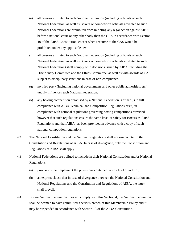- (e) all persons affiliated to each National Federation (including officials of such National Federation, as well as Boxers or competition officials affiliated to such National Federation) are prohibited from initiating any legal action against AIBA before a national court or any other body than the CAS in accordance with Section 48 of the AIBA Constitution, except when recourse to the CAS would be prohibited under any applicable law.
- (f) all persons affiliated to each National Federation (including officials of such National Federation, as well as Boxers or competition officials affiliated to such National Federation) shall comply with decisions issued by AIBA, including the Disciplinary Committee and the Ethics Committee, as well as with awards of CAS, subject to disciplinary sanctions in case of non-compliance.
- (g) no third party (including national governments and other public authorities, etc.) unduly influences each National Federation.
- (h) any boxing competition organised by a National Federation is either (i) in full compliance with AIBA Technical and Competition Regulations or (ii) in compliance with national regulations governing boxing competitions provided however that such regulations ensure the same level of safety for Boxers as AIBA Regulations and that AIBA has been provided in advance with a copy of such national competition regulations.
- 4.2 The National Constitution and the National Regulations shall not run counter to the Constitution and Regulations of AIBA. In case of divergence, only the Constitution and Regulations of AIBA shall apply.
- 4.3 National Federations are obliged to include in their National Constitution and/or National Regulations:
	- (a) provisions that implement the provisions contained in articles [4.1](#page-6-1) and [5.1;](#page-8-1)
	- (b) an express clause that in case of divergence between the National Constitution and National Regulations and the Constitution and Regulations of AIBA, the latter shall prevail.
- 4.4 In case National Federation does not comply with this Section 4, the National Federation shall be deemed to have committed a serious breach of this Membership Policy and it may be suspended in accordance with Section 13 of the AIBA Constitution.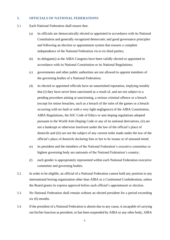#### <span id="page-8-0"></span>**5. OFFICIALS OF NATIONAL FEDERATIONS**

- <span id="page-8-1"></span>5.1 Each National Federation shall ensure that:
	- (a) its officials are democratically elected or appointed in accordance with its National Constitution and generally recognized democratic and good governance principles and following an election or appointment system that ensures a complete independence of the National Federation vis-à-vis third parties;
	- (b) its delegate(s) at the AIBA Congress have been validly elected or appointed in accordance with its National Constitution or its National Regulations;
	- (c) governments and other public authorities are not allowed to appoint members of the governing bodies of a National Federation;
	- (d) its elected or appointed officials have an untarnished reputation, implying notably that (i) they have never been sanctioned as a result of, and are not subject to a pending procedure aiming at sanctioning, a serious criminal offence or a breach (except for minor breaches, such as a breach of the rules of the games or a breach occurring with no fault or with a very light negligence) of the AIBA Constitution, AIBA Regulations, the IOC Code of Ethics or anti-doping regulations adopted pursuant to the World Anti-Doping Code or any of its national derivatives, (ii) are not a bankrupt or otherwise insolvent under the law of the official's place of domicile and (iii) are not the subject of any current order made under the law of the official's place of domicile declaring him or her to be insane or of unsound mind;
	- (e) its president and the members of the National Federation's executive committee or highest governing body are nationals of the National Federation's country;
	- (f) each gender is appropriately represented within each National Federation executive committee and governing bodies.
- 5.2 In order to be eligible, an official of a National Federation cannot hold any position in any international boxing organization other than AIBA or a Continental Confederation, unless the Board grants its express approval before such official's appointment or election.
- <span id="page-8-2"></span>5.3 No National Federation shall remain without an elected president for a period exceeding six (6) months.
- <span id="page-8-3"></span>5.4 If the president of a National Federation is absent due to any cause, is incapable of carrying out his/her function as president, or has been suspended by AIBA or any other body, AIBA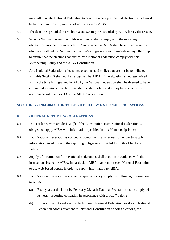may call upon the National Federation to organize a new presidential election, which must be held within three (3) months of notification by AIBA.

- 5.5 The deadlines provided in articles [5.3](#page-8-2) and [5.4](#page-8-3) may be extended by AIBA for a valid reason.
- 5.6 When a National Federation holds elections, it shall comply with the reporting obligations provided for in articles [8.2](#page-10-2) and [8.4](#page-11-1) below. AIBA shall be entitled to send an observer to attend the National Federation's congress and/or to undertake any other step to ensure that the elections conducted by a National Federation comply with this Membership Policy and the AIBA Constitution.
- 5.7 Any National Federation's decisions, elections and bodies that are not in compliance with this Section [5](#page-8-0) shall not be recognised by AIBA. If the situation is not regularised within the time limit granted by AIBA, the National Federation shall be deemed to have committed a serious breach of this Membership Policy and it may be suspended in accordance with Section 13 of the AIBA Constitution.

#### <span id="page-9-0"></span>**SECTION B – INFORMATION TO BE SUPPLIED BY NATIONAL FEDERATIONS**

#### <span id="page-9-1"></span>**6. GENERAL REPORTING OBLIGATIONS**

- 6.1 In accordance with article 11.1 (f) of the Constitution, each National Federation is obliged to supply AIBA with information specified in this Membership Policy.
- 6.2 Each National Federation is obliged to comply with any request by AIBA to supply information, in addition to the reporting obligations provided for in this Membership Policy.
- 6.3 Supply of information from National Federations shall occur in accordance with the instructions issued by AIBA. In particular, AIBA may request each National Federation to use web-based portals in order to supply information to AIBA.
- 6.4 Each National Federation is obliged to spontaneously supply the following information to AIBA:
	- (a) Each year, at the latest by February 28, each National Federation shall comply with its yearly reporting obligation in accordance with article [7](#page-10-0) below;
	- (b) In case of significant event affecting each National Federation, or if each National Federation adopts or amend its National Constitution or holds elections, the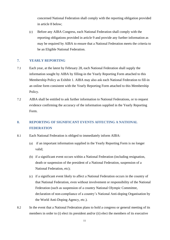concerned National Federation shall comply with the reporting obligation provided in article [8](#page-10-1) below;

(c) Before any AIBA Congress, each National Federation shall comply with the reporting obligations provided in article [9](#page-11-0) and provide any further information as may be required by AIBA to ensure that a National Federation meets the criteria to be an Eligible National Federation.

#### <span id="page-10-0"></span>**7. YEARLY REPORTING**

- 7.1 Each year, at the latest by February 28, each National Federation shall supply the information sought by AIBA by filling-in the Yearly Reporting Form attached to this Membership Policy as Exhibit 1. AIBA may also ask each National Federation to fill-in an online form consistent with the Yearly Reporting Form attached to this Membership Policy.
- 7.2 AIBA shall be entitled to ask further information to National Federations, or to request evidence confirming the accuracy of the information supplied in the Yearly Reporting Form.

#### <span id="page-10-1"></span>**8. REPORTING OF SIGNIFICANT EVENTS AFFECTING A NATIONAL FEDERATION**

- 8.1 Each National Federation is obliged to immediately inform AIBA:
	- (a) if an important information supplied in the Yearly Reporting Form is no longer valid;
	- (b) if a significant event occurs within a National Federation (including resignation, death or suspension of the president of a National Federation, suspension of a National Federation, etc);
	- (c) if a significant event likely to affect a National Federation occurs in the country of that National Federation, even without involvement or responsibility of the National Federation (such as suspension of a country National Olympic Committee, declaration of non-compliance of a country's National Anti-doping Organisation by the World Anti-Doping Agency, etc.).
- <span id="page-10-2"></span>8.2 In the event that a National Federation plans to hold a congress or general meeting of its members in order to (i) elect its president and/or (ii) elect the members of its executive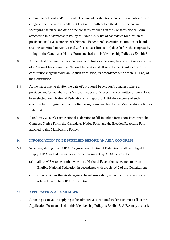committee or board and/or (iii) adopt or amend its statutes or constitution, notice of such congress shall be given to AIBA at least one month before the date of the congress, specifying the place and date of the congress by filling-in the Congress Notice Form attached to this Membership Policy as Exhibit 2. A list of candidates for election as president and/or as members of a National Federation's executive committee or board shall be submitted to AIBA Head Office at least fifteen (15) days before the congress by filling-in the Candidates Notice Form attached to this Membership Policy as Exhibit 3.

- 8.3 At the latest one month after a congress adopting or amending the constitution or statutes of a National Federation, the National Federation shall send to the Board a copy of its constitution (together with an English translation) in accordance with article 11.1 (d) of the Constitution.
- <span id="page-11-1"></span>8.4 At the latest one week after the date of a National Federation's congress where a president and/or members of a National Federation's executive committee or board have been elected, each National Federation shall report to AIBA the outcome of such elections by filling-in the Election Reporting Form attached to this Membership Policy as Exhibit 4.
- 8.5 AIBA may also ask each National Federation to fill-in online forms consistent with the Congress Notice Form, the Candidates Notice Form and the Election Reporting Form attached to this Membership Policy.

#### <span id="page-11-0"></span>**9. INFORMATION TO BE SUPPLIED BEFORE AN AIBA CONGRESS**

- 9.1 When registering to an AIBA Congress, each National Federation shall be obliged to supply AIBA with all necessary information sought by AIBA in order to:
	- (a) allow AIBA to determine whether a National Federation is deemed to be an Eligible National Federation in accordance with article 16.2 of the Constitution;
	- (b) show to AIBA that its delegate(s) have been validly appointed in accordance with article 16.4 of the AIBA Constitution.

#### **10. APPLICATION AS A MEMBER**

10.1 A boxing association applying to be admitted as a National Federation must fill-in the Application Form attached to this Membership Policy as Exhibit 5. AIBA may also ask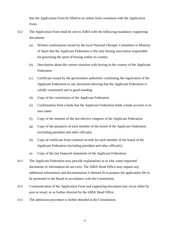that the Application Form be filled-in an online form consistent with the Application Form.

- 10.2 The Application Form shall be sent to AIBA with the following mandatory supporting documents:
	- (a) Written confirmation issued by the local National Olympic Committee or Ministry of Sport that the Applicant Federation is the only boxing association responsible for governing the sport of boxing within its country
	- (b) Description about the current situation with boxing in the country of the Applicant Federation
	- (c) Certificate issued by the government authorities confirming the registration of the Applicant Federation or any document showing that the Applicant Federation is validly constituted and in good standing
	- (d) Copy of the constitution of the Applicant Federation
	- (e) Confirmation from a bank that the Applicant Federation holds a bank account in its own name
	- (f) Copy of the minutes of the last elective congress of the Applicant Federation
	- (g) Copy of the passports of each member of the board of the Applicant Federation (including president and other officials)
	- (h) Copy of certificate from criminal records for each member of the board of the Applicant Federation (including president and other officials);
	- (i) Copy of the last financial statements of the Applicant Federation.
- 10.3 The Applicant Federation may provide explanations as to why some requested documents or information do not exist. The AIBA Head Office may request any additional information and documentation it deemed fit to prepare the application file to be presented to the Board in accordance with the Constitution.
- 10.4 Communication of the Application Form and supporting document may occur either by post or email, or as further directed by the AIBA Head Office.
- 10.5 The admission procedure is further detailed in the Constitution.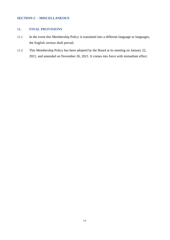#### <span id="page-13-0"></span>**SECTION C – MISCELLANEOUS**

#### <span id="page-13-1"></span>**11. FINAL PROVISIONS**

- 11.1 In the event this Membership Policy is translated into a different language or languages, the English version shall prevail.
- 11.2 This Membership Policy has been adopted by the Board at its meeting on January 22, 2021, and amended on November 26, 2021. It comes into force with immediate effect.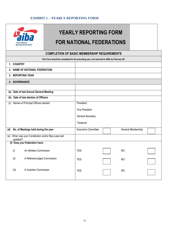#### **EXHIBIT 1 – YEARLY REPORTING FORM**

<span id="page-14-0"></span>

## **YEARLY REPORTING FORM FOR NATIONAL FEDERATIONS**

## **COMPLETION OF BASIC MEMBERSHIP REQUIREMENTS This Form should be completed for the preceding year, and returned to AIBA by February 28<sup>t</sup> . 1. COUNTRY 2. NAME OF NATIONAL FEDERATION 3. REPORTING YEAR 4. GOVERNANCE (a) Date of last Annual General Meeting (b) Date of last election of Officers** (c) Names of Principal Officers elected | President: Vice President General Secretary Treasurer

| <b>Executive Committee</b> | General Membership |  |
|----------------------------|--------------------|--|
|                            |                    |  |
|                            |                    |  |
| <b>YES</b>                 | <b>NO</b>          |  |
| <b>YES</b>                 | <b>NO</b>          |  |
| <b>YES</b>                 | <b>NO</b>          |  |
|                            |                    |  |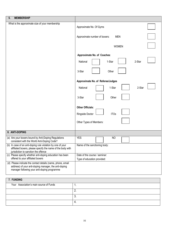| <b>MEMBERSHIP</b><br>5.                                                                                                                                              |                                                              |
|----------------------------------------------------------------------------------------------------------------------------------------------------------------------|--------------------------------------------------------------|
| What is the approximate size of your membership                                                                                                                      | Approximate No. Of Gyms                                      |
|                                                                                                                                                                      | Approximate number of boxers:<br><b>MEN</b>                  |
|                                                                                                                                                                      | <b>WOMEN</b>                                                 |
|                                                                                                                                                                      | Approximate No. of Coaches:                                  |
|                                                                                                                                                                      | 1-Star<br>2-Star<br>National                                 |
|                                                                                                                                                                      | 3-Star<br>Other                                              |
|                                                                                                                                                                      | Approximate No. of Referee/Judges                            |
|                                                                                                                                                                      | 1-Star<br>2-Star<br>National                                 |
|                                                                                                                                                                      | 3-Star<br>Other                                              |
|                                                                                                                                                                      | <b>Other Officials:</b>                                      |
|                                                                                                                                                                      | Ringside Doctor<br><b>ITOs</b>                               |
|                                                                                                                                                                      | Other Types of Members:                                      |
| 6. ANTI-DOPING                                                                                                                                                       |                                                              |
| (a) Are your boxers bound by Anti-Doping Regulations<br>consistent with the World Anti-Doping Code?                                                                  | <b>YES</b><br><b>NO</b>                                      |
| (b) In case of an anti-doping rule violation by one of your<br>affiliated boxers, please specify the name of the body with<br>jurisdiction to sanction the offence   | Name of the sanctioning body:                                |
| (c) Please specify whether anti-doping education has been<br>offered to your affiliated boxers                                                                       | Date of the course / seminar:<br>Type of education provided: |
| (d) Please indicate the contact details (name, phone, email<br>address) of your anti-doping manager, the anti-doping<br>manager following your anti-doping programme |                                                              |
| 7. FUNDING                                                                                                                                                           |                                                              |
| Your Association's main source of Funds                                                                                                                              | $\mathbf{1}$ .                                               |
|                                                                                                                                                                      | 2.                                                           |
|                                                                                                                                                                      | 3.                                                           |
|                                                                                                                                                                      | 4.                                                           |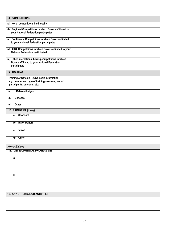| 8. COMPETITIONS                                                                                                                    |  |
|------------------------------------------------------------------------------------------------------------------------------------|--|
| (a) No. of competitions held locally                                                                                               |  |
| (b) Regional Competitions in which Boxers affiliated to<br>your National Federation participated                                   |  |
| (c) Continental Competitions in which Boxers affiliated<br>to your National Federation participated                                |  |
| (d) AIBA Competitions in which Boxers affiliated to your<br><b>National Federation participated</b>                                |  |
| (e) Other international boxing competitions in which<br>Boxers affiliated to your National Federation<br>participated              |  |
| 9: TRAINING                                                                                                                        |  |
| Training of Officials: (Give basic information<br>e.g. number and type of training sessions, No. of<br>participants, outcome, etc: |  |
| Referee/Judges<br>(a)                                                                                                              |  |
| Coaches<br>(b)                                                                                                                     |  |
| Other<br>(c)                                                                                                                       |  |
| 10. PARTNERS (if any)                                                                                                              |  |
| <b>Sponsors</b><br>(a)                                                                                                             |  |
| <b>Major Donors</b><br>(b)                                                                                                         |  |
| (c) Patron                                                                                                                         |  |
| Other<br>(d)                                                                                                                       |  |
| <b>New Initiatives</b>                                                                                                             |  |
| <b>11. DEVELOPMENTAL PROGRAMMES</b>                                                                                                |  |
| $\overline{(\mathsf{i})}$                                                                                                          |  |
|                                                                                                                                    |  |
|                                                                                                                                    |  |
| (ii)                                                                                                                               |  |
|                                                                                                                                    |  |
|                                                                                                                                    |  |
| 12. ANY OTHER MAJOR ACTIVITIES                                                                                                     |  |
|                                                                                                                                    |  |
|                                                                                                                                    |  |
|                                                                                                                                    |  |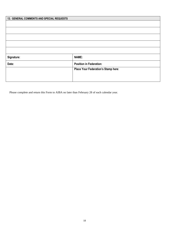| 13. GENERAL COMMENTS AND SPECIAL REQUESTS |                                     |
|-------------------------------------------|-------------------------------------|
|                                           |                                     |
|                                           |                                     |
|                                           |                                     |
|                                           |                                     |
|                                           |                                     |
|                                           |                                     |
|                                           |                                     |
| Signature:                                | <b>NAME:</b>                        |
| Date:                                     | <b>Position in Federation:</b>      |
|                                           | Place Your Federation's Stamp here: |
|                                           |                                     |
|                                           |                                     |

Please complete and return this Form to AIBA no later than February 28 of each calendar year.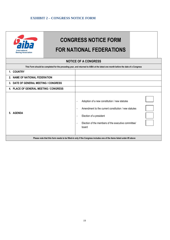#### <span id="page-18-0"></span>**EXHIBIT 2 – CONGRESS NOTICE FORM**



# **CONGRESS NOTICE FORM FOR NATIONAL FEDERATIONS**

### **NOTICE OF A CONGRESS This Form should be completed for the preceding year, and returned to AIBA at the latest one month before the date of a Congress 1. COUNTRY 2. NAME OF NATIONAL FEDERATION 3. DATE OF GENERAL MEETING / CONGRESS 4. PLACE OF GENERAL MEETING / CONGRESS 5. AGENDA**  - Adoption of a new constitution / new statutes - Amendment to the current constitution / new statutes - Election of a president - Election of the members of the executive committee/ board **Please note that this form needs to be filled-in only if the Congress includes one of the items listed under #5 above**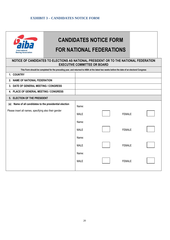#### <span id="page-19-0"></span>**EXHIBIT 3 – CANDIDATES NOTICE FORM**



# **CANDIDATES NOTICE FORM FOR NATIONAL FEDERATIONS**

#### **NOTICE OF CANDIDATES TO ELECTIONS AS NATIONAL PRESIDENT OR TO THE NATIONAL FEDERATION EXECUTIVE COMMITTEE OR BOARD**

| This Form should be completed for the preceding year, and returned to AIBA at the latest two weeks before the date of an electoral Congress |             |               |  |
|---------------------------------------------------------------------------------------------------------------------------------------------|-------------|---------------|--|
| 1. COUNTRY                                                                                                                                  |             |               |  |
| 2. NAME OF NATIONAL FEDERATION                                                                                                              |             |               |  |
| 3. DATE OF GENERAL MEETING / CONGRESS                                                                                                       |             |               |  |
| 4. PLACE OF GENERAL MEETING / CONGRESS                                                                                                      |             |               |  |
| 5. ELECTION OF THE PRESIDENT                                                                                                                |             |               |  |
| Name of all candidates to the presidential election<br>(a)                                                                                  | Name:       |               |  |
| Please insert all names, specifying also their gender                                                                                       | <b>MALE</b> | <b>FEMALE</b> |  |
|                                                                                                                                             | Name:       |               |  |
|                                                                                                                                             | <b>MALE</b> | <b>FEMALE</b> |  |
|                                                                                                                                             | Name:       |               |  |
|                                                                                                                                             | <b>MALE</b> | <b>FEMALE</b> |  |
|                                                                                                                                             | Name:       |               |  |
|                                                                                                                                             | <b>MALE</b> | <b>FEMALE</b> |  |
|                                                                                                                                             |             |               |  |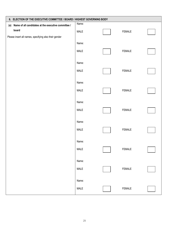|                                                         | 6. ELECTION OF THE EXECUTIVE COMMITTEE / BOARD / HIGHEST GOVERNING BODY |  |               |  |
|---------------------------------------------------------|-------------------------------------------------------------------------|--|---------------|--|
| (a) Name of all candidates at the executive committee / | Name:                                                                   |  |               |  |
| board                                                   | MALE                                                                    |  | FEMALE        |  |
| Please insert all names, specifying also their gender   |                                                                         |  |               |  |
|                                                         | Name:                                                                   |  |               |  |
|                                                         | <b>MALE</b>                                                             |  | FEMALE        |  |
|                                                         | Name:                                                                   |  |               |  |
|                                                         | MALE                                                                    |  | FEMALE        |  |
|                                                         | Name:                                                                   |  |               |  |
|                                                         | <b>MALE</b>                                                             |  | <b>FEMALE</b> |  |
|                                                         | Name:                                                                   |  |               |  |
|                                                         | MALE                                                                    |  | FEMALE        |  |
|                                                         | Name:                                                                   |  |               |  |
|                                                         | MALE                                                                    |  | <b>FEMALE</b> |  |
|                                                         | Name:                                                                   |  |               |  |
|                                                         | <b>MALE</b>                                                             |  | FEMALE        |  |
|                                                         | Name:                                                                   |  |               |  |
|                                                         | MALE                                                                    |  | <b>FEMALE</b> |  |
|                                                         | Name:                                                                   |  |               |  |
|                                                         | MALE                                                                    |  | FEMALE        |  |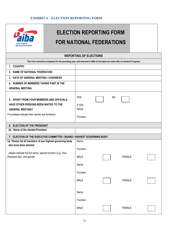#### **EXHIBIT 4 – ELECTION REPORTING FORM**

<span id="page-21-0"></span>

## **ELECTION REPORTING FORM FOR NATIONAL FEDERATIONS**

#### **REPORTING OF ELECTIONS**

| This Form should be completed for the preceding year, and returned to AIBA at the latest one week after an electoral Congress                                     |                                             |                |               |  |
|-------------------------------------------------------------------------------------------------------------------------------------------------------------------|---------------------------------------------|----------------|---------------|--|
| 1. COUNTRY                                                                                                                                                        |                                             |                |               |  |
|                                                                                                                                                                   |                                             |                |               |  |
| 2. NAME OF NATIONAL FEDERATION                                                                                                                                    |                                             |                |               |  |
| 3. DATE OF GENERAL MEETING / CONGRESS                                                                                                                             |                                             |                |               |  |
| 4. NUMBER OF MEMBERS TAKING PART IN THE                                                                                                                           |                                             |                |               |  |
| <b>GENERAL MEETING</b>                                                                                                                                            |                                             |                |               |  |
| 5. APART FROM YOUR MEMBERS AND OFFICIALS,<br>HAVE OTHER PERSONS BEEN INVITED TO THE<br><b>GENERAL MEETING?</b><br>If so please indicate their names and functions | <b>YES</b><br>If YES:<br>Name:<br>Function: | N <sub>O</sub> |               |  |
| 6. ELECTION OF THE PRESIDENT                                                                                                                                      |                                             |                |               |  |
| Name of the elected President<br>(a)                                                                                                                              |                                             |                |               |  |
| 7. ELECTION OF THE EXECUTIVE COMMITTEE / BOARD / HIGHEST GOVERNING BODY                                                                                           |                                             |                |               |  |
| (a) Please list all members of you highest governing body                                                                                                         | Name:                                       |                |               |  |
| who have been elected:                                                                                                                                            |                                             |                |               |  |
| please indicate the full name, special function (e.g. Vice                                                                                                        | Function:                                   |                |               |  |
| President etc), and gender                                                                                                                                        | <b>MALE</b>                                 |                | <b>FEMALE</b> |  |
|                                                                                                                                                                   | Name:                                       |                |               |  |
|                                                                                                                                                                   |                                             |                |               |  |
|                                                                                                                                                                   | Function:                                   |                |               |  |
|                                                                                                                                                                   | <b>MALE</b>                                 |                | <b>FEMALE</b> |  |
|                                                                                                                                                                   |                                             |                |               |  |
|                                                                                                                                                                   |                                             |                |               |  |
|                                                                                                                                                                   | Name:                                       |                |               |  |
|                                                                                                                                                                   | Function:                                   |                |               |  |
|                                                                                                                                                                   | <b>MALE</b>                                 |                | <b>FEMALE</b> |  |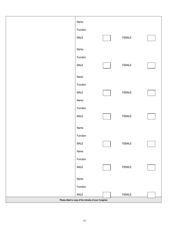| Name:                                                |        |  |
|------------------------------------------------------|--------|--|
| Function:                                            |        |  |
| MALE                                                 | FEMALE |  |
| Name:                                                |        |  |
| Function:                                            |        |  |
|                                                      |        |  |
| MALE                                                 | FEMALE |  |
| Name:                                                |        |  |
| Function:                                            |        |  |
| MALE                                                 | FEMALE |  |
| Name:                                                |        |  |
| Function:                                            |        |  |
| MALE                                                 | FEMALE |  |
|                                                      |        |  |
| Name:                                                |        |  |
| Function:                                            |        |  |
| $\ensuremath{\mathsf{MALE}}$                         | FEMALE |  |
| Name:                                                |        |  |
| Function:                                            |        |  |
| MALE                                                 | FEMALE |  |
| Name:                                                |        |  |
| Function:                                            |        |  |
| MALE                                                 | FEMALE |  |
| Please attach a copy of the minutes of your Congress |        |  |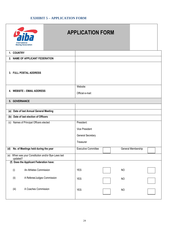#### **EXHIBIT 5 – APPLICATION FORM**

|            | <b>International</b><br><b>Boxing Association</b>               | <b>APPLICATION FORM</b> |                            |  |                    |  |
|------------|-----------------------------------------------------------------|-------------------------|----------------------------|--|--------------------|--|
| 1. COUNTRY |                                                                 |                         |                            |  |                    |  |
|            | 2. NAME OF APPLICANT FEDERATION                                 |                         |                            |  |                    |  |
|            | 3. FULL POSTAL ADDRESS                                          |                         |                            |  |                    |  |
|            |                                                                 |                         | Website:                   |  |                    |  |
|            | 4. WEBSITE - EMAIL ADDRESS                                      |                         | Official e-mail:           |  |                    |  |
|            | 5. GOVERNANCE                                                   |                         |                            |  |                    |  |
|            |                                                                 |                         |                            |  |                    |  |
| (a)        | Date of last Annual General Meeting                             |                         |                            |  |                    |  |
| (b)        | Date of last election of Officers                               |                         |                            |  |                    |  |
| (c)        | Names of Principal Officers elected                             |                         | President:                 |  |                    |  |
|            |                                                                 |                         | <b>Vice President</b>      |  |                    |  |
|            |                                                                 |                         | <b>General Secretary</b>   |  |                    |  |
|            |                                                                 |                         | Treasurer                  |  |                    |  |
| (d)        | No. of Meetings held during the year                            |                         | <b>Executive Committee</b> |  | General Membership |  |
|            | (e) When was your Constitution and/or Bye-Laws last<br>updated? |                         |                            |  |                    |  |
|            | (f) Does the Applicant Federation have:                         |                         |                            |  |                    |  |
| (i)        | An Athletes Commission                                          |                         | <b>YES</b>                 |  | <b>NO</b>          |  |
| (ii)       | A Referee/Judges Commission                                     |                         | <b>YES</b>                 |  | <b>NO</b>          |  |
| (iii)      | A Coaches Commission                                            |                         | <b>YES</b>                 |  | <b>NO</b>          |  |
|            |                                                                 |                         |                            |  |                    |  |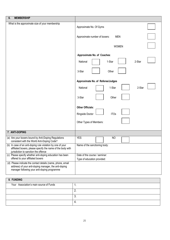| 6.<br><b>MEMBERSHIP</b>                                                                                                                                              |                                                              |
|----------------------------------------------------------------------------------------------------------------------------------------------------------------------|--------------------------------------------------------------|
| What is the approximate size of your membership                                                                                                                      | Approximate No. Of Gyms                                      |
|                                                                                                                                                                      | Approximate number of boxers:<br><b>MEN</b>                  |
|                                                                                                                                                                      | <b>WOMEN</b>                                                 |
|                                                                                                                                                                      | Approximate No. of Coaches:                                  |
|                                                                                                                                                                      | 1-Star<br>2-Star<br>National                                 |
|                                                                                                                                                                      | 3-Star<br>Other                                              |
|                                                                                                                                                                      | Approximate No. of Referee/Judges                            |
|                                                                                                                                                                      | 1-Star<br>2-Star<br>National                                 |
|                                                                                                                                                                      | 3-Star<br>Other                                              |
|                                                                                                                                                                      | <b>Other Officials:</b>                                      |
|                                                                                                                                                                      | Ringside Doctor<br><b>ITOs</b>                               |
|                                                                                                                                                                      | Other Types of Members:                                      |
| 7. ANTI-DOPING                                                                                                                                                       |                                                              |
| (a) Are your boxers bound by Anti-Doping Regulations<br>consistent with the World Anti-Doping Code?                                                                  | <b>YES</b><br><b>NO</b>                                      |
| (b) In case of an anti-doping rule violation by one of your<br>affiliated boxers, please specify the name of the body with<br>jurisdiction to sanction the offence   | Name of the sanctioning body:                                |
| (c) Please specify whether anti-doping education has been<br>offered to your affiliated boxers                                                                       | Date of the course / seminar:<br>Type of education provided: |
| (d) Please indicate the contact details (name, phone, email<br>address) of your anti-doping manager, the anti-doping<br>manager following your anti-doping programme |                                                              |
| 8. FUNDING                                                                                                                                                           |                                                              |
| Your Association's main source of Funds                                                                                                                              | $\mathbf{1}$ .                                               |
|                                                                                                                                                                      | 2.                                                           |
|                                                                                                                                                                      | 3.                                                           |
|                                                                                                                                                                      | 4.                                                           |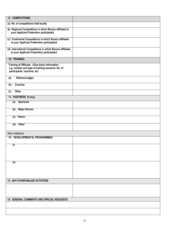| 9. COMPETITIONS                                                                                                                    |                |
|------------------------------------------------------------------------------------------------------------------------------------|----------------|
| (a) No. of competitions held locally                                                                                               |                |
| (b) Regional Competitions in which Boxers affiliated to<br>your Applicant Federation participated                                  |                |
| (c) Continental Competitions in which Boxers affiliated<br>to your Applicant Federation participated                               |                |
| (d) International Competitions in which Boxers affiliated<br>to your Applicant Federation participated                             |                |
| 10: TRAINING                                                                                                                       |                |
| Training of Officials: (Give basic information<br>e.g. number and type of training sessions, No. of<br>participants, outcome, etc: |                |
| Referee/Judges<br>(a)                                                                                                              |                |
| Coaches<br>(b)                                                                                                                     |                |
| Other<br>(c)                                                                                                                       |                |
| 11. PARTNERS (if any)                                                                                                              |                |
| <b>Sponsors</b><br>(a)                                                                                                             |                |
| <b>Major Donors</b><br>(b)                                                                                                         |                |
| (c) Patron                                                                                                                         |                |
| Other<br>(d)                                                                                                                       |                |
| <b>New Initiatives</b>                                                                                                             |                |
| <b>12. DEVELOPMENTAL PROGRAMMES</b>                                                                                                |                |
| $\overline{(\mathsf{i})}$                                                                                                          |                |
|                                                                                                                                    |                |
|                                                                                                                                    |                |
| (ii)                                                                                                                               |                |
|                                                                                                                                    |                |
|                                                                                                                                    |                |
| 13. ANY OTHER MAJOR ACTIVITIES                                                                                                     |                |
|                                                                                                                                    |                |
|                                                                                                                                    | $\blacksquare$ |
| 14. GENERAL COMMENTS AND SPECIAL REQUESTS                                                                                          |                |
|                                                                                                                                    |                |
|                                                                                                                                    |                |